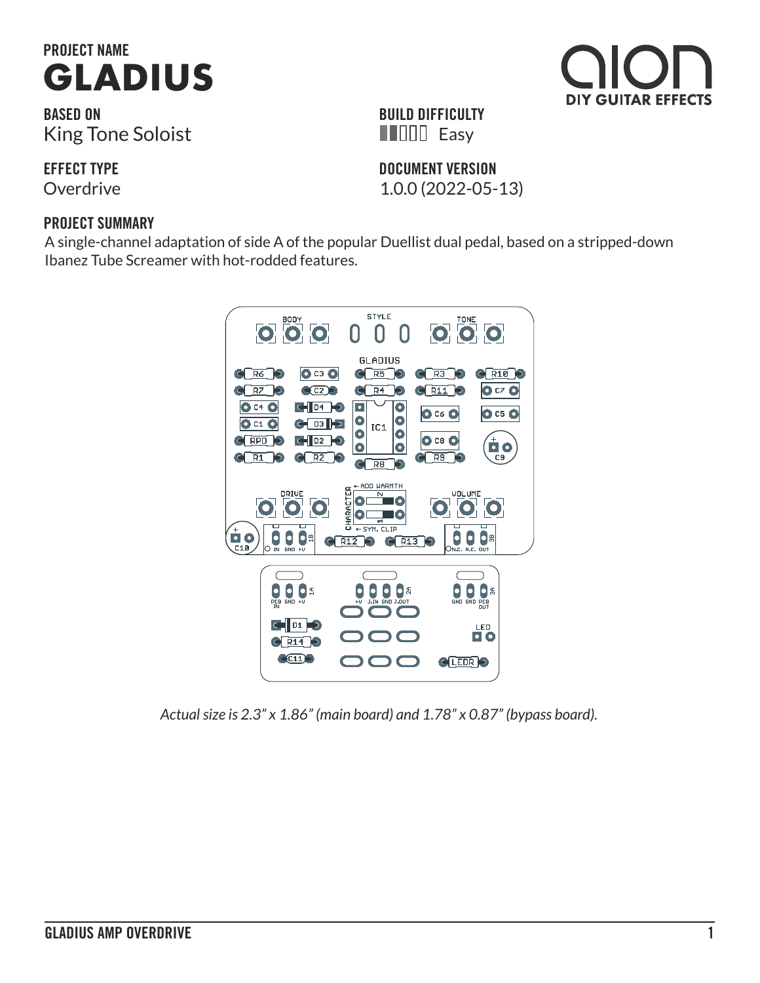

**BASED ON** King Tone Soloist

**EFFECT TYPE**

#### **PROJECT SUMMARY**

A single-channel adaptation of side A of the popular Duellist dual pedal, based on a stripped-down Ibanez Tube Screamer with hot-rodded features.



*Actual size is 2.3" x 1.86" (main board) and 1.78" x 0.87" (bypass board).*





**DOCUMENT VERSION HILLE** Easy

**BUILD DIFFICULTY**

Overdrive 1.0.0 (2022-05-13)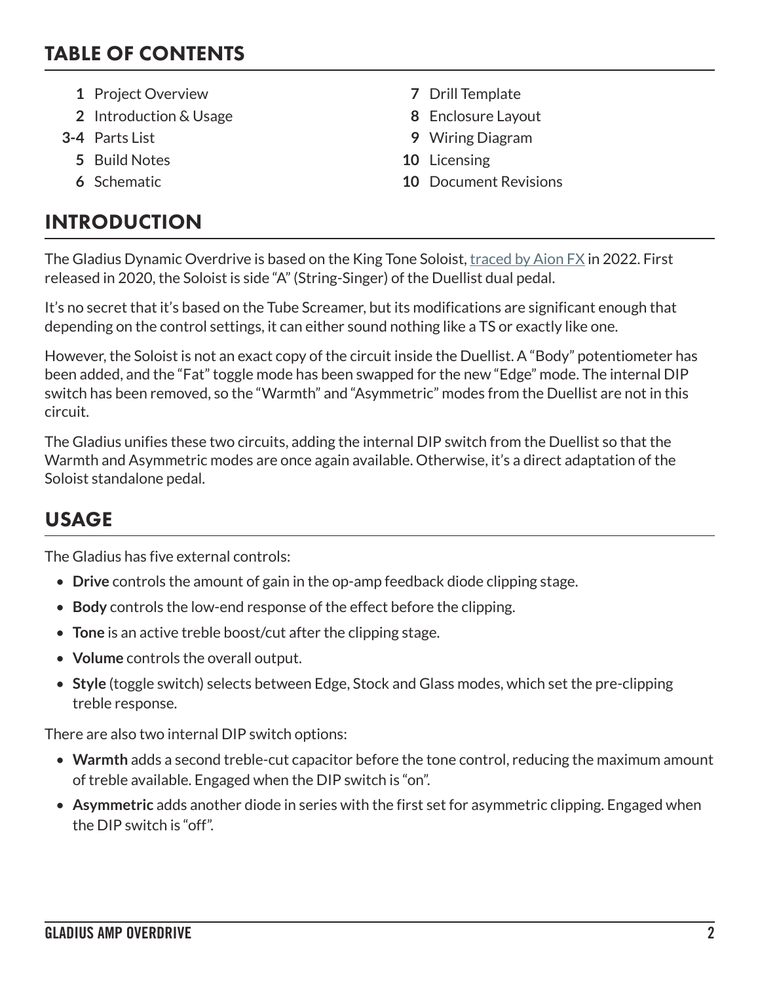#### TABLE OF CONTENTS

- **1** Project Overview **7** Drill Template
- **2** Introduction & Usage **8** Enclosure Layout
- - **5** Build Notes **10** Licensing
	-

# INTRODUCTION

- 
- 
- **3-4** Parts List **9** Wiring Diagram
	-
	- **6** Schematic **10** Document Revisions

The Gladius Dynamic Overdrive is based on the King Tone Soloist, [traced by Aion FX](https://aionfx.com/news/tracing-journal-king-tone-duellist-soloist-and-heavyhand/) in 2022. First released in 2020, the Soloist is side "A" (String-Singer) of the Duellist dual pedal.

It's no secret that it's based on the Tube Screamer, but its modifications are significant enough that depending on the control settings, it can either sound nothing like a TS or exactly like one.

However, the Soloist is not an exact copy of the circuit inside the Duellist. A "Body" potentiometer has been added, and the "Fat" toggle mode has been swapped for the new "Edge" mode. The internal DIP switch has been removed, so the "Warmth" and "Asymmetric" modes from the Duellist are not in this circuit.

The Gladius unifies these two circuits, adding the internal DIP switch from the Duellist so that the Warmth and Asymmetric modes are once again available. Otherwise, it's a direct adaptation of the Soloist standalone pedal.

# USAGE

The Gladius has five external controls:

- **Drive** controls the amount of gain in the op-amp feedback diode clipping stage.
- **Body** controls the low-end response of the effect before the clipping.
- **Tone** is an active treble boost/cut after the clipping stage.
- **Volume** controls the overall output.
- **Style** (toggle switch) selects between Edge, Stock and Glass modes, which set the pre-clipping treble response.

There are also two internal DIP switch options:

- **Warmth** adds a second treble-cut capacitor before the tone control, reducing the maximum amount of treble available. Engaged when the DIP switch is "on".
- **Asymmetric** adds another diode in series with the first set for asymmetric clipping. Engaged when the DIP switch is "off".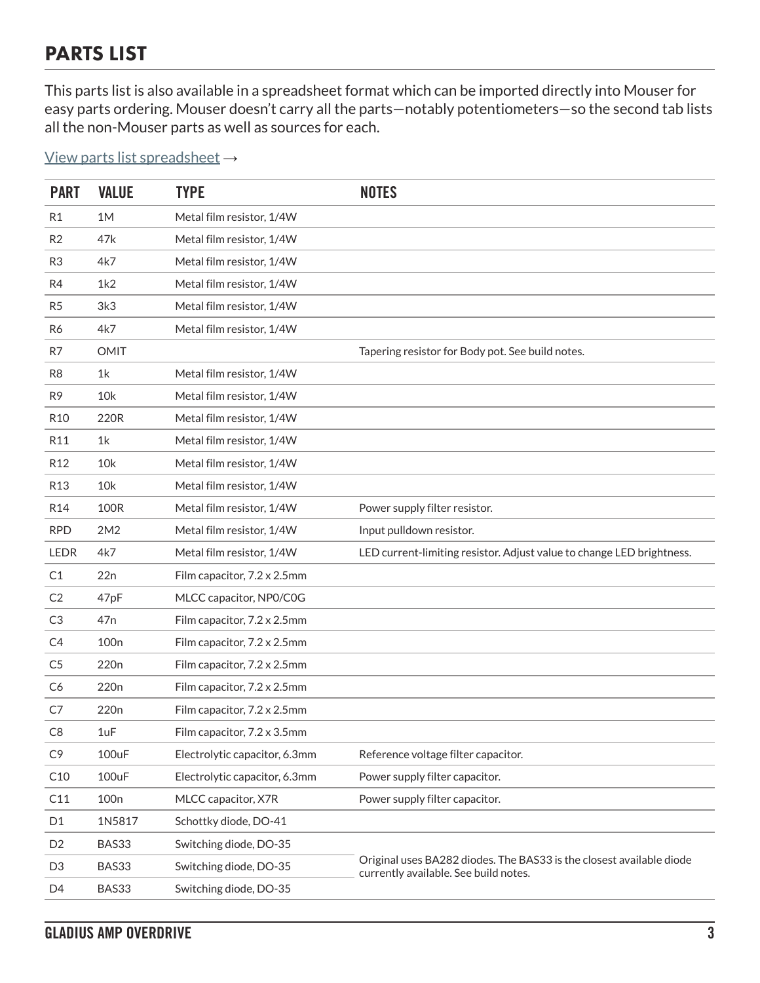### PARTS LIST

This parts list is also available in a spreadsheet format which can be imported directly into Mouser for easy parts ordering. Mouser doesn't carry all the parts—notably potentiometers—so the second tab lists all the non-Mouser parts as well as sources for each.

#### [View parts list spreadsheet](https://docs.google.com/spreadsheets/d/1k5h8WyUl-2gPKZofeJJmohGacg_4s3cQO9YNXbVfmPQ/edit?usp=sharing) →

| <b>PART</b>     | <b>VALUE</b>     | <b>TYPE</b>                   | <b>NOTES</b>                                                                                                  |
|-----------------|------------------|-------------------------------|---------------------------------------------------------------------------------------------------------------|
| R <sub>1</sub>  | 1M               | Metal film resistor, 1/4W     |                                                                                                               |
| R <sub>2</sub>  | 47k              | Metal film resistor, 1/4W     |                                                                                                               |
| R <sub>3</sub>  | 4k7              | Metal film resistor, 1/4W     |                                                                                                               |
| R4              | 1k2              | Metal film resistor, 1/4W     |                                                                                                               |
| R <sub>5</sub>  | 3k <sub>3</sub>  | Metal film resistor, 1/4W     |                                                                                                               |
| R6              | 4k7              | Metal film resistor, 1/4W     |                                                                                                               |
| R7              | <b>OMIT</b>      |                               | Tapering resistor for Body pot. See build notes.                                                              |
| R <sub>8</sub>  | 1k               | Metal film resistor, 1/4W     |                                                                                                               |
| R <sub>9</sub>  | 10k              | Metal film resistor, 1/4W     |                                                                                                               |
| R <sub>10</sub> | 220R             | Metal film resistor, 1/4W     |                                                                                                               |
| R11             | 1k               | Metal film resistor, 1/4W     |                                                                                                               |
| R <sub>12</sub> | 10k              | Metal film resistor, 1/4W     |                                                                                                               |
| R <sub>13</sub> | 10k              | Metal film resistor, 1/4W     |                                                                                                               |
| R <sub>14</sub> | <b>100R</b>      | Metal film resistor, 1/4W     | Power supply filter resistor.                                                                                 |
| <b>RPD</b>      | 2M2              | Metal film resistor, 1/4W     | Input pulldown resistor.                                                                                      |
| <b>LEDR</b>     | 4k7              | Metal film resistor, 1/4W     | LED current-limiting resistor. Adjust value to change LED brightness.                                         |
| C1              | 22n              | Film capacitor, 7.2 x 2.5mm   |                                                                                                               |
| C <sub>2</sub>  | 47pF             | MLCC capacitor, NP0/C0G       |                                                                                                               |
| C3              | 47 <sub>n</sub>  | Film capacitor, 7.2 x 2.5mm   |                                                                                                               |
| C4              | 100 <sub>n</sub> | Film capacitor, 7.2 x 2.5mm   |                                                                                                               |
| C <sub>5</sub>  | 220 <sub>n</sub> | Film capacitor, 7.2 x 2.5mm   |                                                                                                               |
| C <sub>6</sub>  | 220 <sub>n</sub> | Film capacitor, 7.2 x 2.5mm   |                                                                                                               |
| C7              | 220 <sub>n</sub> | Film capacitor, 7.2 x 2.5mm   |                                                                                                               |
| C <sub>8</sub>  | 1uF              | Film capacitor, 7.2 x 3.5mm   |                                                                                                               |
| C <sub>9</sub>  | 100uF            | Electrolytic capacitor, 6.3mm | Reference voltage filter capacitor.                                                                           |
| C10             | 100uF            | Electrolytic capacitor, 6.3mm | Power supply filter capacitor.                                                                                |
| C11             | 100 <sub>n</sub> | MLCC capacitor, X7R           | Power supply filter capacitor.                                                                                |
| D <sub>1</sub>  | 1N5817           | Schottky diode, DO-41         |                                                                                                               |
| D <sub>2</sub>  | BAS33            | Switching diode, DO-35        |                                                                                                               |
| D <sub>3</sub>  | BAS33            | Switching diode, DO-35        | Original uses BA282 diodes. The BAS33 is the closest available diode<br>currently available. See build notes. |
| D <sub>4</sub>  | BAS33            | Switching diode, DO-35        |                                                                                                               |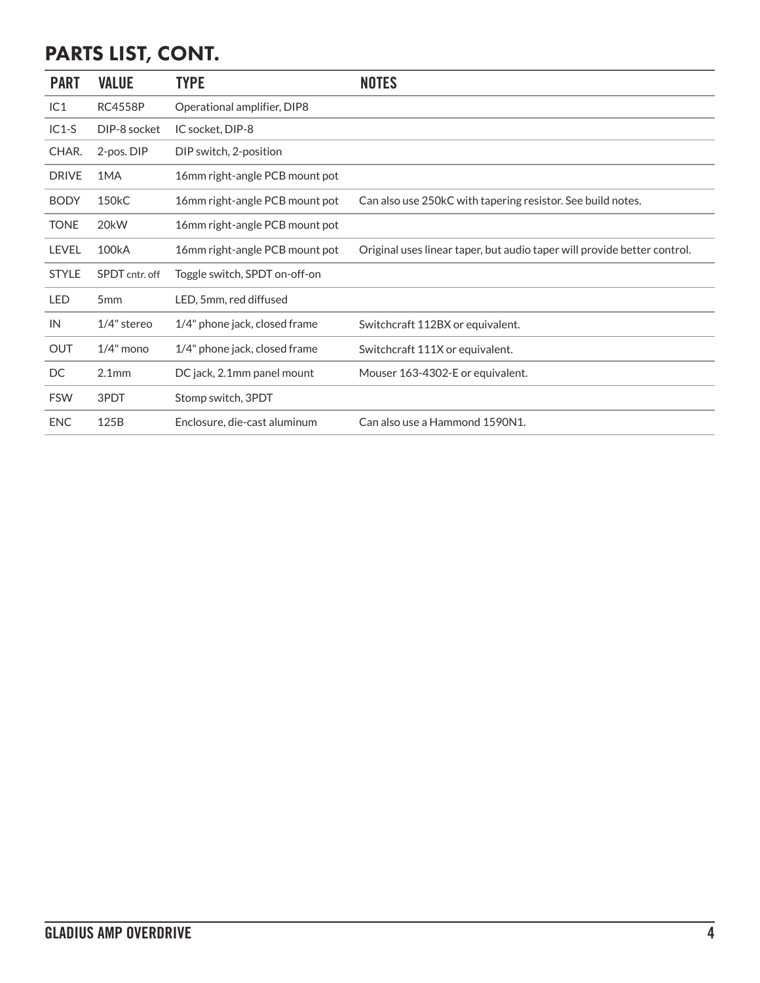# PARTS LIST, CONT.

| <b>PART</b>  | <b>VALUE</b>       | <b>TYPE</b>                    | <b>NOTES</b>                                                             |
|--------------|--------------------|--------------------------------|--------------------------------------------------------------------------|
| IC1          | <b>RC4558P</b>     | Operational amplifier, DIP8    |                                                                          |
| $IC1-S$      | DIP-8 socket       | IC socket, DIP-8               |                                                                          |
| CHAR.        | 2-pos. DIP         | DIP switch, 2-position         |                                                                          |
| <b>DRIVE</b> | 1MA                | 16mm right-angle PCB mount pot |                                                                          |
| <b>BODY</b>  | 150 <sub>k</sub> C | 16mm right-angle PCB mount pot | Can also use 250kC with tapering resistor. See build notes.              |
| <b>TONE</b>  | 20 <sub>k</sub> W  | 16mm right-angle PCB mount pot |                                                                          |
| LEVEL        | 100kA              | 16mm right-angle PCB mount pot | Original uses linear taper, but audio taper will provide better control. |
| <b>STYLE</b> | SPDT cntr. off     | Toggle switch, SPDT on-off-on  |                                                                          |
| <b>LED</b>   | 5 <sub>mm</sub>    | LED, 5mm, red diffused         |                                                                          |
| IN           | $1/4$ " stereo     | 1/4" phone jack, closed frame  | Switchcraft 112BX or equivalent.                                         |
| <b>OUT</b>   | $1/4$ " mono       | 1/4" phone jack, closed frame  | Switchcraft 111X or equivalent.                                          |
| DC           | 2.1 <sub>mm</sub>  | DC jack, 2.1mm panel mount     | Mouser 163-4302-E or equivalent.                                         |
| <b>FSW</b>   | 3PDT               | Stomp switch, 3PDT             |                                                                          |
| <b>ENC</b>   | 125B               | Enclosure, die-cast aluminum   | Can also use a Hammond 1590N1.                                           |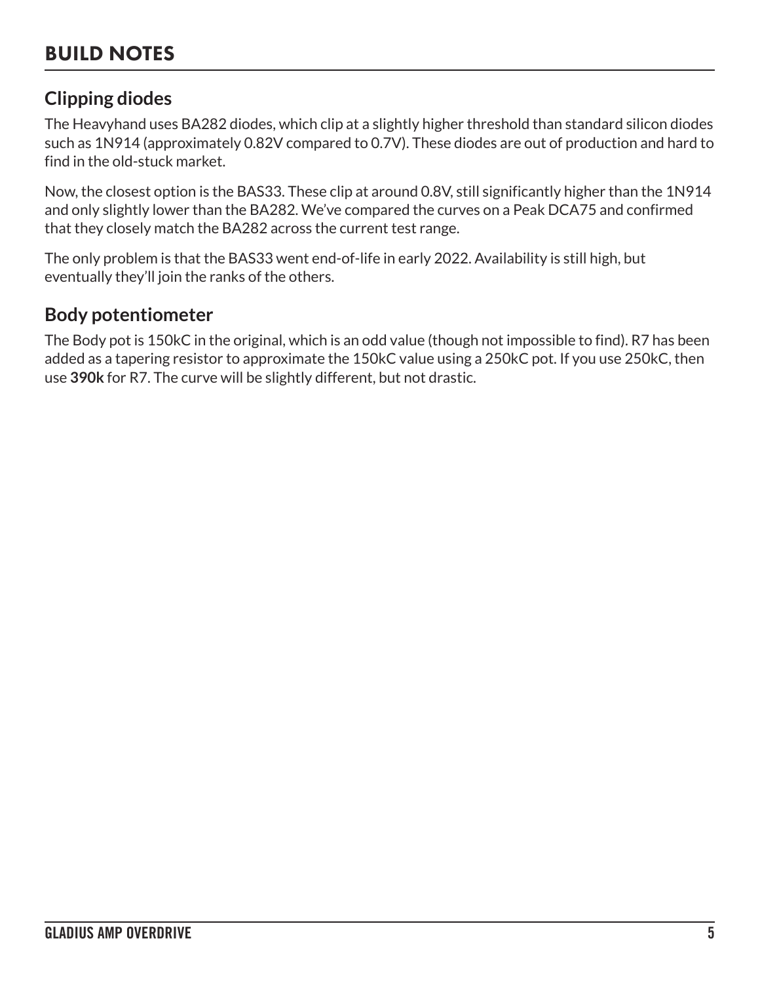## BUILD NOTES

#### **Clipping diodes**

The Heavyhand uses BA282 diodes, which clip at a slightly higher threshold than standard silicon diodes such as 1N914 (approximately 0.82V compared to 0.7V). These diodes are out of production and hard to find in the old-stuck market.

Now, the closest option is the BAS33. These clip at around 0.8V, still significantly higher than the 1N914 and only slightly lower than the BA282. We've compared the curves on a Peak DCA75 and confirmed that they closely match the BA282 across the current test range.

The only problem is that the BAS33 went end-of-life in early 2022. Availability is still high, but eventually they'll join the ranks of the others.

#### **Body potentiometer**

The Body pot is 150kC in the original, which is an odd value (though not impossible to find). R7 has been added as a tapering resistor to approximate the 150kC value using a 250kC pot. If you use 250kC, then use **390k** for R7. The curve will be slightly different, but not drastic.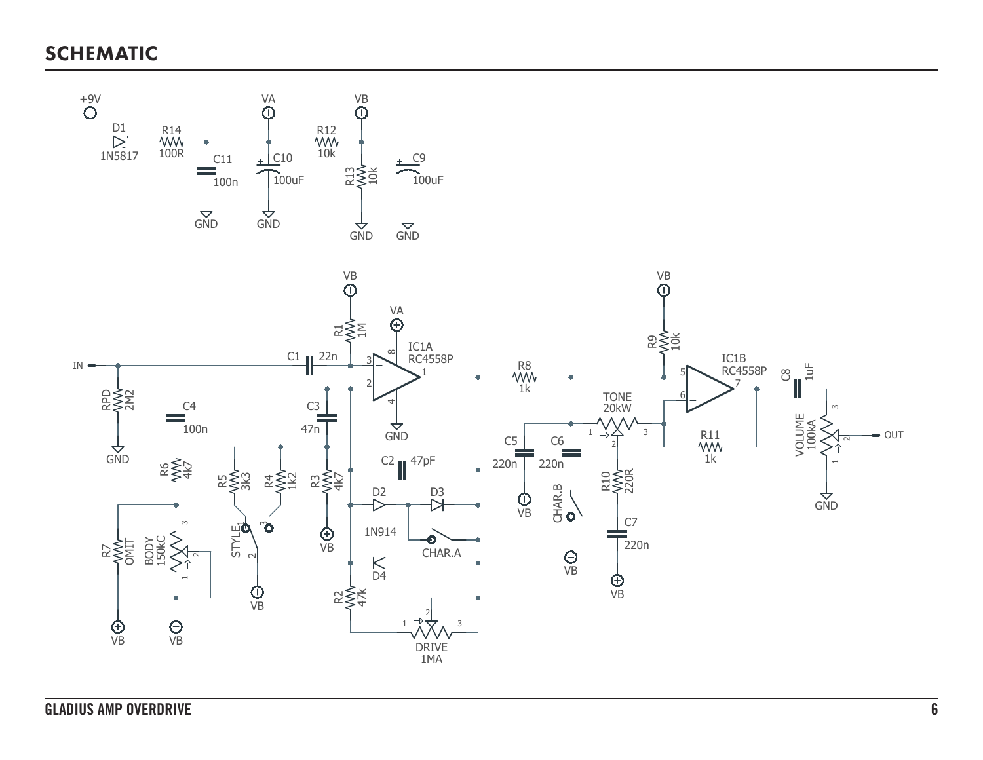SCHEMATIC

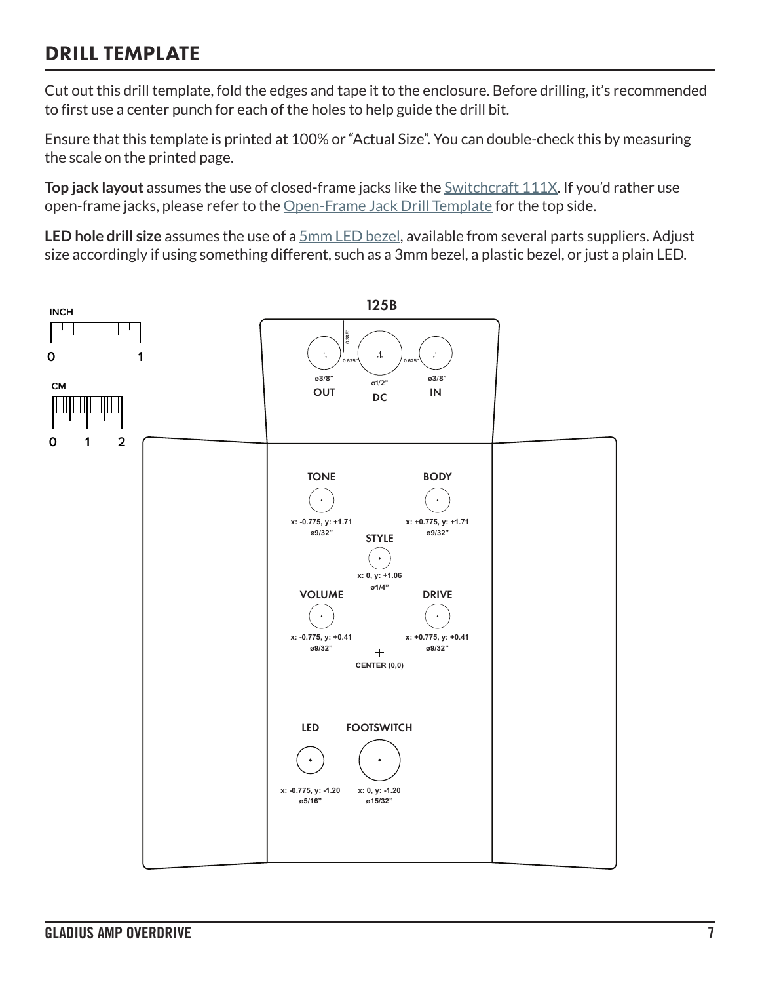### DRILL TEMPLATE

Cut out this drill template, fold the edges and tape it to the enclosure. Before drilling, it's recommended to first use a center punch for each of the holes to help guide the drill bit.

Ensure that this template is printed at 100% or "Actual Size". You can double-check this by measuring the scale on the printed page.

**Top jack layout** assumes the use of closed-frame jacks like the **Switchcraft 111X**. If you'd rather use open-frame jacks, please refer to the [Open-Frame Jack Drill Template](https://aionfx.com/link/open-frame-drill-template/) for the top side.

**LED hole drill size** assumes the use of a [5mm LED bezel,](https://aionfx.com/link/chrome-bezel-for-5mm-led/) available from several parts suppliers. Adjust size accordingly if using something different, such as a 3mm bezel, a plastic bezel, or just a plain LED.

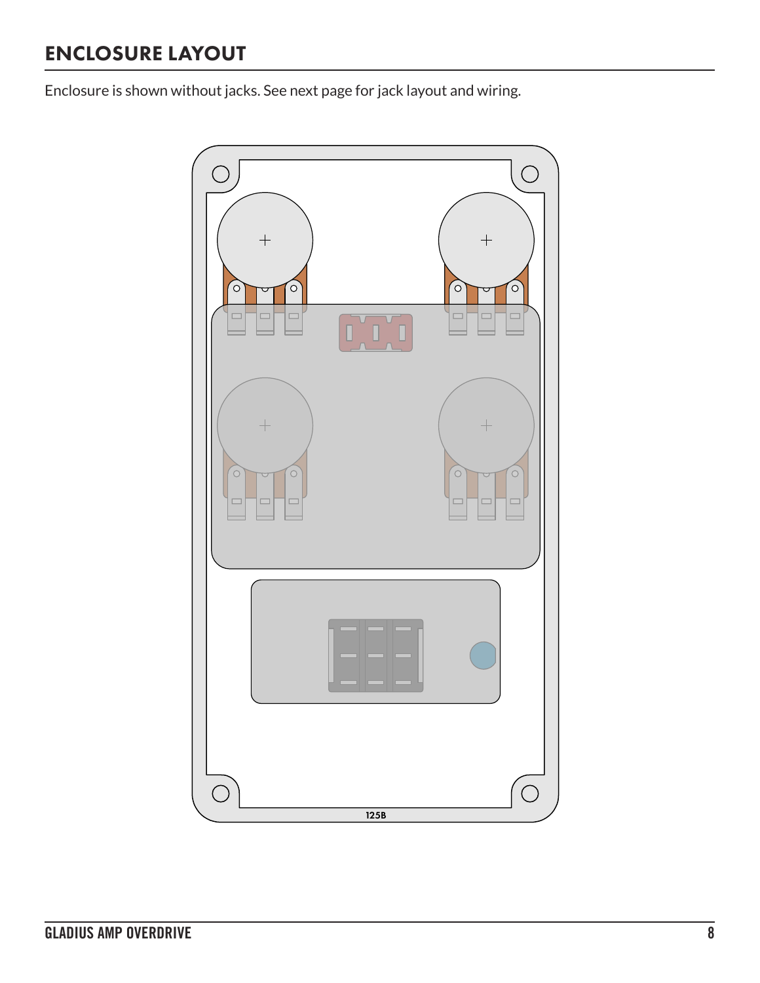# ENCLOSURE LAYOUT

Enclosure is shown without jacks. See next page for jack layout and wiring.

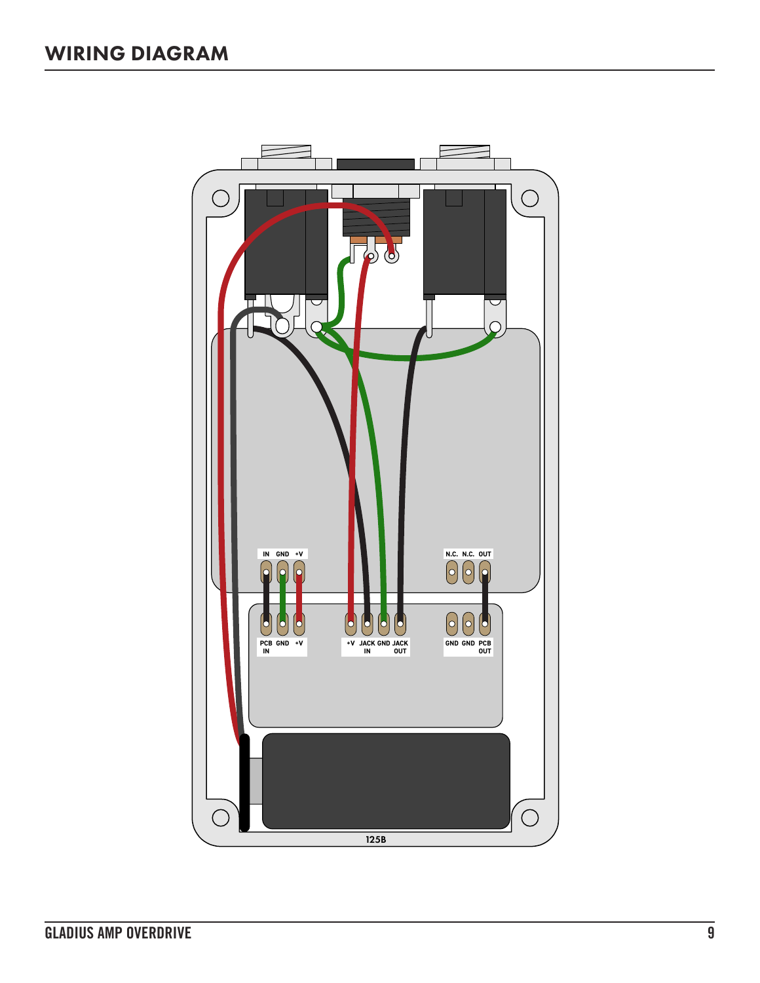